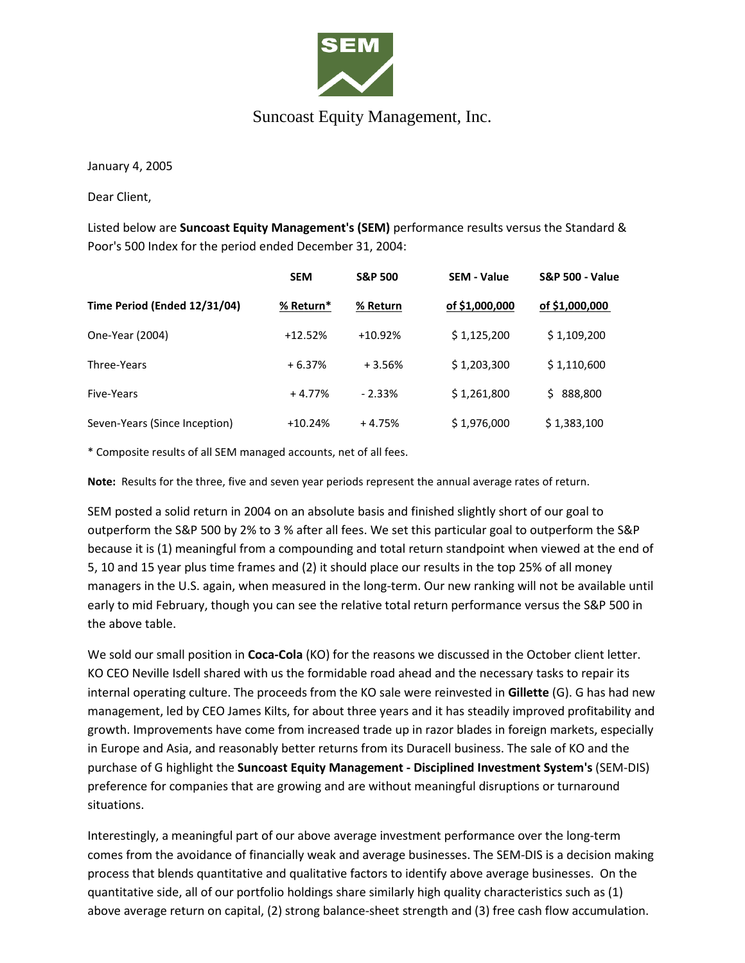

## Suncoast Equity Management, Inc.

January 4, 2005

Dear Client,

Listed below are **Suncoast Equity Management's (SEM)** performance results versus the Standard & Poor's 500 Index for the period ended December 31, 2004:

|                               | <b>SEM</b> | <b>S&amp;P 500</b> | <b>SEM - Value</b> | <b>S&amp;P 500 - Value</b> |
|-------------------------------|------------|--------------------|--------------------|----------------------------|
| Time Period (Ended 12/31/04)  | % Return*  | % Return           | of \$1,000,000     | of \$1,000,000             |
| One-Year (2004)               | $+12.52%$  | $+10.92%$          | \$1,125,200        | \$1,109,200                |
| Three-Years                   | $+6.37%$   | $+3.56%$           | \$1,203,300        | \$1,110,600                |
| Five-Years                    | $+4.77%$   | $-2.33%$           | \$1,261,800        | 888,800<br>S.              |
| Seven-Years (Since Inception) | $+10.24%$  | $+4.75%$           | \$1,976,000        | \$1,383,100                |

\* Composite results of all SEM managed accounts, net of all fees.

**Note:** Results for the three, five and seven year periods represent the annual average rates of return.

SEM posted a solid return in 2004 on an absolute basis and finished slightly short of our goal to outperform the S&P 500 by 2% to 3 % after all fees. We set this particular goal to outperform the S&P because it is (1) meaningful from a compounding and total return standpoint when viewed at the end of 5, 10 and 15 year plus time frames and (2) it should place our results in the top 25% of all money managers in the U.S. again, when measured in the long-term. Our new ranking will not be available until early to mid February, though you can see the relative total return performance versus the S&P 500 in the above table.

We sold our small position in **Coca-Cola** (KO) for the reasons we discussed in the October client letter. KO CEO Neville Isdell shared with us the formidable road ahead and the necessary tasks to repair its internal operating culture. The proceeds from the KO sale were reinvested in **Gillette** (G). G has had new management, led by CEO James Kilts, for about three years and it has steadily improved profitability and growth. Improvements have come from increased trade up in razor blades in foreign markets, especially in Europe and Asia, and reasonably better returns from its Duracell business. The sale of KO and the purchase of G highlight the **Suncoast Equity Management - Disciplined Investment System's** (SEM-DIS) preference for companies that are growing and are without meaningful disruptions or turnaround situations.

Interestingly, a meaningful part of our above average investment performance over the long-term comes from the avoidance of financially weak and average businesses. The SEM-DIS is a decision making process that blends quantitative and qualitative factors to identify above average businesses. On the quantitative side, all of our portfolio holdings share similarly high quality characteristics such as (1) above average return on capital, (2) strong balance-sheet strength and (3) free cash flow accumulation.